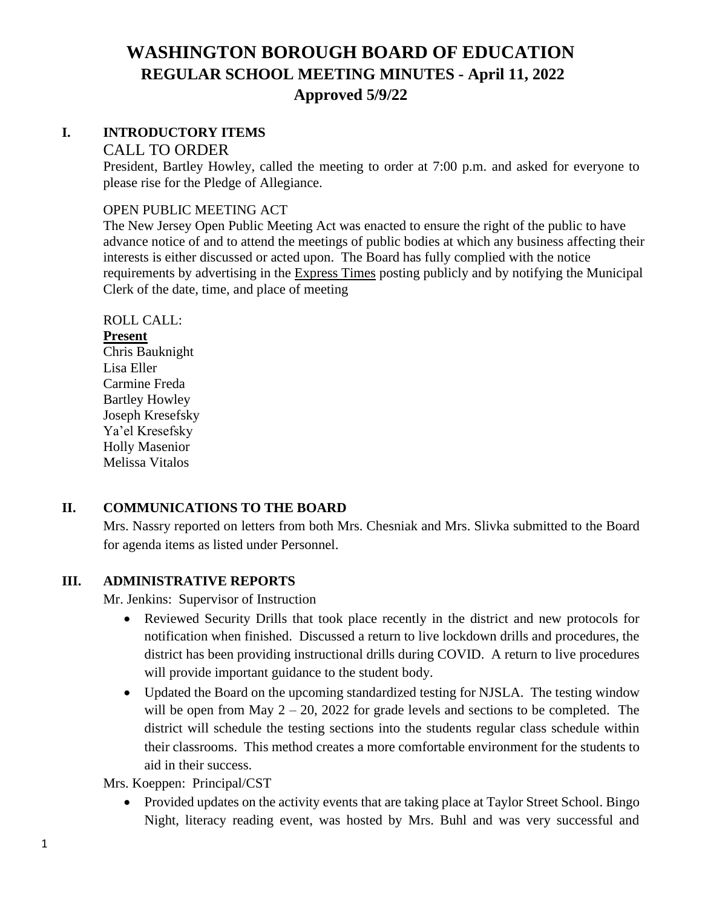## **I. INTRODUCTORY ITEMS**

#### CALL TO ORDER

President, Bartley Howley, called the meeting to order at 7:00 p.m. and asked for everyone to please rise for the Pledge of Allegiance.

#### OPEN PUBLIC MEETING ACT

The New Jersey Open Public Meeting Act was enacted to ensure the right of the public to have advance notice of and to attend the meetings of public bodies at which any business affecting their interests is either discussed or acted upon. The Board has fully complied with the notice requirements by advertising in the Express Times posting publicly and by notifying the Municipal Clerk of the date, time, and place of meeting

## ROLL CALL:

### **Present**

Chris Bauknight Lisa Eller Carmine Freda Bartley Howley Joseph Kresefsky Ya'el Kresefsky Holly Masenior Melissa Vitalos

## **II. COMMUNICATIONS TO THE BOARD**

Mrs. Nassry reported on letters from both Mrs. Chesniak and Mrs. Slivka submitted to the Board for agenda items as listed under Personnel.

### **III. ADMINISTRATIVE REPORTS**

Mr. Jenkins: Supervisor of Instruction

- Reviewed Security Drills that took place recently in the district and new protocols for notification when finished. Discussed a return to live lockdown drills and procedures, the district has been providing instructional drills during COVID. A return to live procedures will provide important guidance to the student body.
- Updated the Board on the upcoming standardized testing for NJSLA. The testing window will be open from May  $2 - 20$ , 2022 for grade levels and sections to be completed. The district will schedule the testing sections into the students regular class schedule within their classrooms. This method creates a more comfortable environment for the students to aid in their success.

Mrs. Koeppen: Principal/CST

• Provided updates on the activity events that are taking place at Taylor Street School. Bingo Night, literacy reading event, was hosted by Mrs. Buhl and was very successful and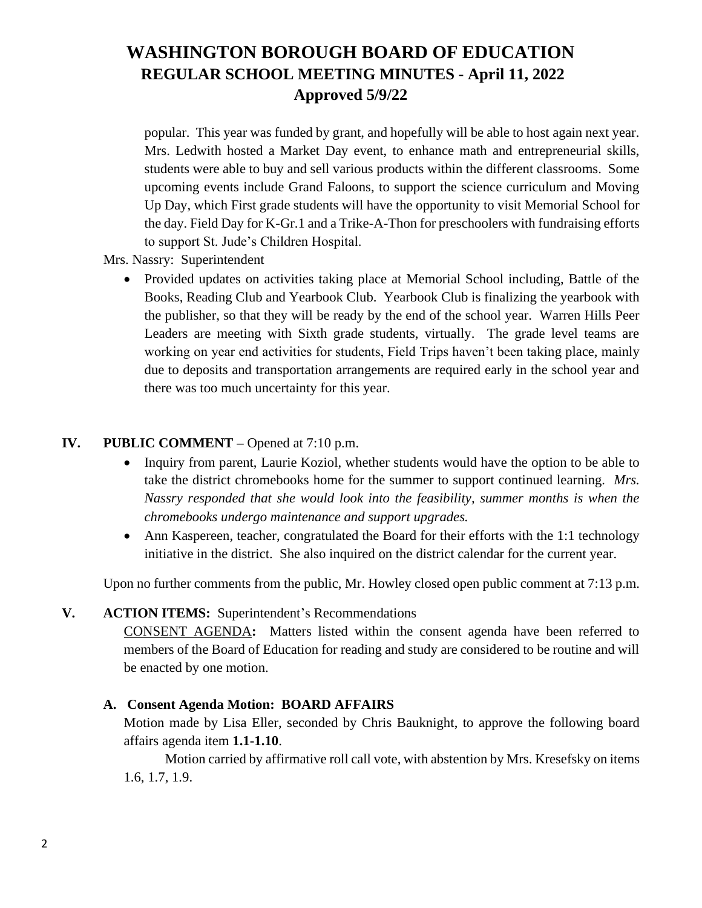popular. This year was funded by grant, and hopefully will be able to host again next year. Mrs. Ledwith hosted a Market Day event, to enhance math and entrepreneurial skills, students were able to buy and sell various products within the different classrooms. Some upcoming events include Grand Faloons, to support the science curriculum and Moving Up Day, which First grade students will have the opportunity to visit Memorial School for the day. Field Day for K-Gr.1 and a Trike-A-Thon for preschoolers with fundraising efforts to support St. Jude's Children Hospital.

Mrs. Nassry: Superintendent

• Provided updates on activities taking place at Memorial School including, Battle of the Books, Reading Club and Yearbook Club. Yearbook Club is finalizing the yearbook with the publisher, so that they will be ready by the end of the school year. Warren Hills Peer Leaders are meeting with Sixth grade students, virtually. The grade level teams are working on year end activities for students, Field Trips haven't been taking place, mainly due to deposits and transportation arrangements are required early in the school year and there was too much uncertainty for this year.

## **IV. PUBLIC COMMENT –** Opened at 7:10 p.m.

- Inquiry from parent, Laurie Koziol, whether students would have the option to be able to take the district chromebooks home for the summer to support continued learning. *Mrs. Nassry responded that she would look into the feasibility, summer months is when the chromebooks undergo maintenance and support upgrades.*
- Ann Kaspereen, teacher, congratulated the Board for their efforts with the 1:1 technology initiative in the district. She also inquired on the district calendar for the current year.

Upon no further comments from the public, Mr. Howley closed open public comment at 7:13 p.m.

### **V. ACTION ITEMS:** Superintendent's Recommendations

CONSENT AGENDA**:** Matters listed within the consent agenda have been referred to members of the Board of Education for reading and study are considered to be routine and will be enacted by one motion.

### **A. Consent Agenda Motion: BOARD AFFAIRS**

Motion made by Lisa Eller, seconded by Chris Bauknight, to approve the following board affairs agenda item **1.1-1.10**.

Motion carried by affirmative roll call vote, with abstention by Mrs. Kresefsky on items 1.6, 1.7, 1.9.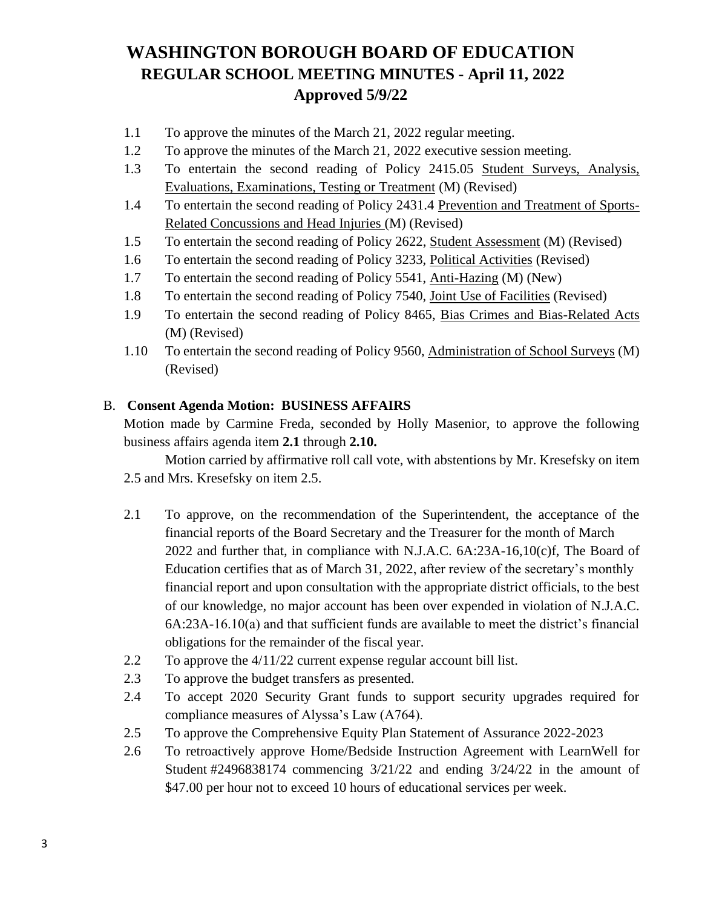- 1.1 To approve the minutes of the March 21, 2022 regular meeting.
- 1.2 To approve the minutes of the March 21, 2022 executive session meeting.
- 1.3 To entertain the second reading of Policy 2415.05 Student Surveys, Analysis, Evaluations, Examinations, Testing or Treatment (M) (Revised)
- 1.4 To entertain the second reading of Policy 2431.4 Prevention and Treatment of Sports-Related Concussions and Head Injuries (M) (Revised)
- 1.5 To entertain the second reading of Policy 2622, Student Assessment (M) (Revised)
- 1.6 To entertain the second reading of Policy 3233, Political Activities (Revised)
- 1.7 To entertain the second reading of Policy 5541, Anti-Hazing (M) (New)
- 1.8 To entertain the second reading of Policy 7540, Joint Use of Facilities (Revised)
- 1.9 To entertain the second reading of Policy 8465, Bias Crimes and Bias-Related Acts (M) (Revised)
- 1.10 To entertain the second reading of Policy 9560, Administration of School Surveys (M) (Revised)

## B. **Consent Agenda Motion: BUSINESS AFFAIRS**

Motion made by Carmine Freda, seconded by Holly Masenior, to approve the following business affairs agenda item **2.1** through **2.10.**

Motion carried by affirmative roll call vote, with abstentions by Mr. Kresefsky on item 2.5 and Mrs. Kresefsky on item 2.5.

- 2.1 To approve, on the recommendation of the Superintendent, the acceptance of the financial reports of the Board Secretary and the Treasurer for the month of March 2022 and further that, in compliance with N.J.A.C. 6A:23A-16,10(c)f, The Board of Education certifies that as of March 31, 2022, after review of the secretary's monthly financial report and upon consultation with the appropriate district officials, to the best of our knowledge, no major account has been over expended in violation of N.J.A.C. 6A:23A-16.10(a) and that sufficient funds are available to meet the district's financial obligations for the remainder of the fiscal year.
- 2.2 To approve the 4/11/22 current expense regular account bill list.
- 2.3 To approve the budget transfers as presented.
- 2.4 To accept 2020 Security Grant funds to support security upgrades required for compliance measures of Alyssa's Law (A764).
- 2.5 To approve the Comprehensive Equity Plan Statement of Assurance 2022-2023
- 2.6 To retroactively approve Home/Bedside Instruction Agreement with LearnWell for Student #2496838174 commencing 3/21/22 and ending 3/24/22 in the amount of \$47.00 per hour not to exceed 10 hours of educational services per week.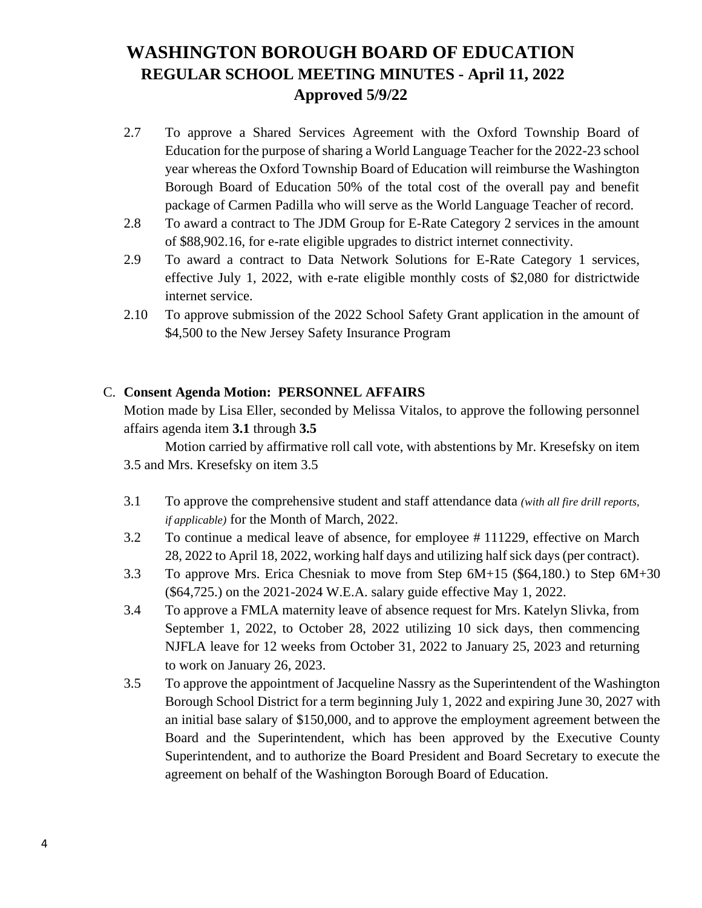- 2.7 To approve a Shared Services Agreement with the Oxford Township Board of Education for the purpose of sharing a World Language Teacher for the 2022-23 school year whereas the Oxford Township Board of Education will reimburse the Washington Borough Board of Education 50% of the total cost of the overall pay and benefit package of Carmen Padilla who will serve as the World Language Teacher of record.
- 2.8 To award a contract to The JDM Group for E-Rate Category 2 services in the amount of \$88,902.16, for e-rate eligible upgrades to district internet connectivity.
- 2.9 To award a contract to Data Network Solutions for E-Rate Category 1 services, effective July 1, 2022, with e-rate eligible monthly costs of \$2,080 for districtwide internet service.
- 2.10 To approve submission of the 2022 School Safety Grant application in the amount of \$4,500 to the New Jersey Safety Insurance Program

## C. **Consent Agenda Motion: PERSONNEL AFFAIRS**

Motion made by Lisa Eller, seconded by Melissa Vitalos, to approve the following personnel affairs agenda item **3.1** through **3.5**

Motion carried by affirmative roll call vote, with abstentions by Mr. Kresefsky on item 3.5 and Mrs. Kresefsky on item 3.5

- 3.1 To approve the comprehensive student and staff attendance data *(with all fire drill reports, if applicable)* for the Month of March, 2022.
- 3.2 To continue a medical leave of absence, for employee # 111229, effective on March 28, 2022 to April 18, 2022, working half days and utilizing half sick days (per contract).
- 3.3 To approve Mrs. Erica Chesniak to move from Step 6M+15 (\$64,180.) to Step 6M+30 (\$64,725.) on the 2021-2024 W.E.A. salary guide effective May 1, 2022.
- 3.4 To approve a FMLA maternity leave of absence request for Mrs. Katelyn Slivka, from September 1, 2022, to October 28, 2022 utilizing 10 sick days, then commencing NJFLA leave for 12 weeks from October 31, 2022 to January 25, 2023 and returning to work on January 26, 2023.
- 3.5 To approve the appointment of Jacqueline Nassry as the Superintendent of the Washington Borough School District for a term beginning July 1, 2022 and expiring June 30, 2027 with an initial base salary of \$150,000, and to approve the employment agreement between the Board and the Superintendent, which has been approved by the Executive County Superintendent, and to authorize the Board President and Board Secretary to execute the agreement on behalf of the Washington Borough Board of Education.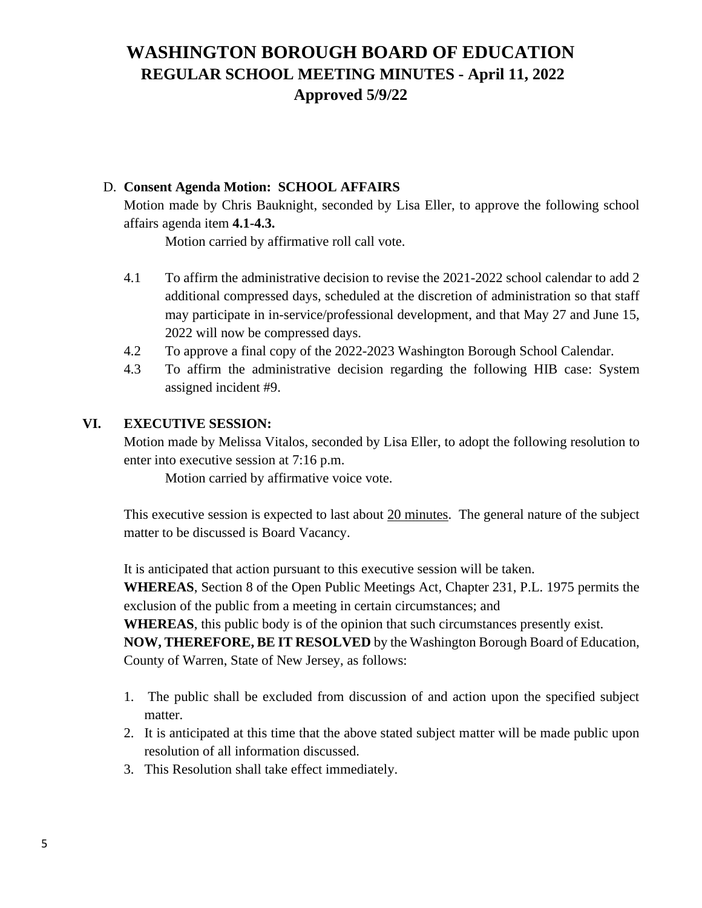## D. **Consent Agenda Motion: SCHOOL AFFAIRS**

Motion made by Chris Bauknight, seconded by Lisa Eller, to approve the following school affairs agenda item **4.1-4.3.**

Motion carried by affirmative roll call vote.

- 4.1 To affirm the administrative decision to revise the 2021-2022 school calendar to add 2 additional compressed days, scheduled at the discretion of administration so that staff may participate in in-service/professional development, and that May 27 and June 15, 2022 will now be compressed days.
- 4.2 To approve a final copy of the 2022-2023 Washington Borough School Calendar.
- 4.3 To affirm the administrative decision regarding the following HIB case: System assigned incident #9.

### **VI. EXECUTIVE SESSION:**

Motion made by Melissa Vitalos, seconded by Lisa Eller, to adopt the following resolution to enter into executive session at 7:16 p.m.

Motion carried by affirmative voice vote.

This executive session is expected to last about 20 minutes. The general nature of the subject matter to be discussed is Board Vacancy.

It is anticipated that action pursuant to this executive session will be taken.

**WHEREAS**, Section 8 of the Open Public Meetings Act, Chapter 231, P.L. 1975 permits the exclusion of the public from a meeting in certain circumstances; and

**WHEREAS**, this public body is of the opinion that such circumstances presently exist.

**NOW, THEREFORE, BE IT RESOLVED** by the Washington Borough Board of Education, County of Warren, State of New Jersey, as follows:

- 1. The public shall be excluded from discussion of and action upon the specified subject matter.
- 2. It is anticipated at this time that the above stated subject matter will be made public upon resolution of all information discussed.
- 3. This Resolution shall take effect immediately.